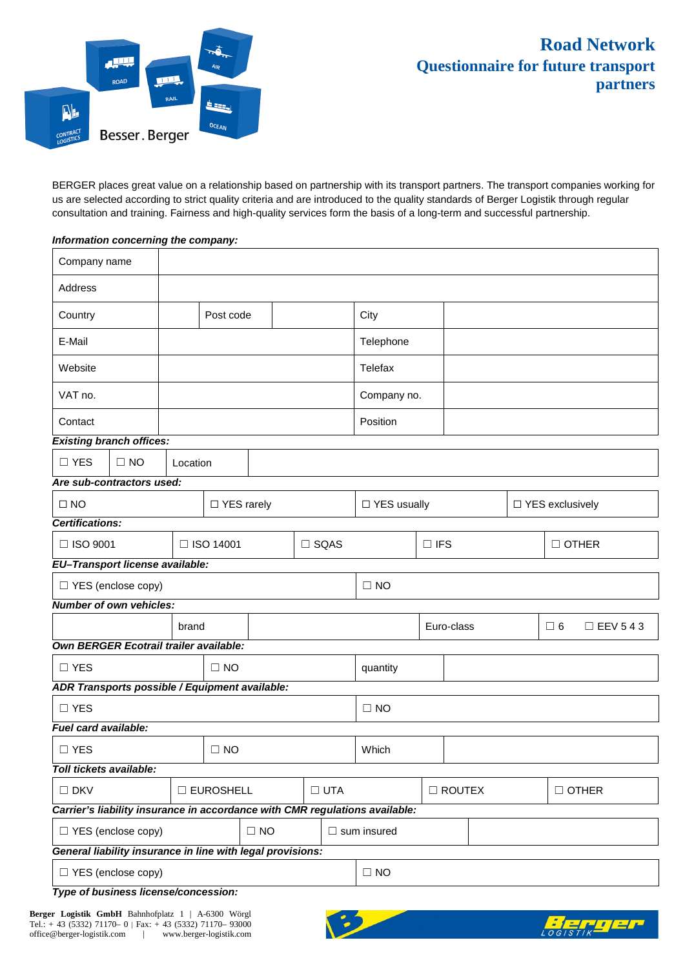

BERGER places great value on a relationship based on partnership with its transport partners. The transport companies working for us are selected according to strict quality criteria and are introduced to the quality standards of Berger Logistik through regular consultation and training. Fairness and high-quality services form the basis of a long-term and successful partnership.

# *Information concerning the company:*

| Company name                                               |             |           |              |            |                    |               |                                                                             |            |  |              |             |                   |  |  |
|------------------------------------------------------------|-------------|-----------|--------------|------------|--------------------|---------------|-----------------------------------------------------------------------------|------------|--|--------------|-------------|-------------------|--|--|
| Address                                                    |             |           |              |            |                    |               |                                                                             |            |  |              |             |                   |  |  |
| Country                                                    |             |           | Post code    |            |                    |               | City                                                                        |            |  |              |             |                   |  |  |
| E-Mail                                                     |             |           |              |            |                    |               |                                                                             | Telephone  |  |              |             |                   |  |  |
| Website                                                    |             |           |              |            |                    |               | Telefax                                                                     |            |  |              |             |                   |  |  |
| VAT no.                                                    |             |           |              |            | Company no.        |               |                                                                             |            |  |              |             |                   |  |  |
| Contact                                                    |             |           |              |            |                    |               | Position                                                                    |            |  |              |             |                   |  |  |
| <b>Existing branch offices:</b>                            |             |           |              |            |                    |               |                                                                             |            |  |              |             |                   |  |  |
| $\square$ YES<br>$\Box$ NO<br>Location                     |             |           |              |            |                    |               |                                                                             |            |  |              |             |                   |  |  |
| Are sub-contractors used:                                  |             |           |              |            |                    |               |                                                                             |            |  |              |             |                   |  |  |
| $\Box$ NO                                                  |             |           | □ YES rarely |            |                    |               | □ YES usually                                                               |            |  |              |             | □ YES exclusively |  |  |
| Certifications:                                            |             |           |              |            |                    |               |                                                                             |            |  |              |             |                   |  |  |
| □ ISO 9001                                                 | □ ISO 14001 |           |              |            | $\square$ SQAS     |               | $\Box$ IFS                                                                  |            |  | $\Box$ OTHER |             |                   |  |  |
| EU-Transport license available:                            |             |           |              |            |                    |               |                                                                             |            |  |              |             |                   |  |  |
| □ YES (enclose copy)                                       |             |           |              |            |                    |               | $\Box$ NO                                                                   |            |  |              |             |                   |  |  |
| <b>Number of own vehicles:</b>                             |             |           |              |            |                    |               |                                                                             |            |  |              |             |                   |  |  |
|                                                            |             | brand     |              |            |                    |               |                                                                             | Euro-class |  |              | $\square$ 6 | $\Box$ EEV 543    |  |  |
| Own BERGER Ecotrail trailer available:                     |             |           |              |            |                    |               |                                                                             |            |  |              |             |                   |  |  |
| $\Box$ YES                                                 |             | $\Box$ NO |              |            |                    | quantity      |                                                                             |            |  |              |             |                   |  |  |
| ADR Transports possible / Equipment available:             |             |           |              |            |                    |               |                                                                             |            |  |              |             |                   |  |  |
| $\Box$ YES                                                 |             |           |              | $\Box$ NO  |                    |               |                                                                             |            |  |              |             |                   |  |  |
| Fuel card available:                                       |             |           |              |            |                    |               |                                                                             |            |  |              |             |                   |  |  |
| $\Box$ YES                                                 |             |           | $\Box$ NO    |            |                    |               | Which                                                                       |            |  |              |             |                   |  |  |
| Toll tickets available:                                    |             |           |              |            |                    |               |                                                                             |            |  |              |             |                   |  |  |
| $\square$ DKV<br>$\square$ EUROSHELL                       |             |           |              | $\Box$ UTA |                    | $\Box$ ROUTEX |                                                                             |            |  | □ OTHER      |             |                   |  |  |
|                                                            |             |           |              |            |                    |               | Carrier's liability insurance in accordance with CMR regulations available: |            |  |              |             |                   |  |  |
| □ YES (enclose copy)<br>$\Box$ NO                          |             |           |              |            | $\Box$ sum insured |               |                                                                             |            |  |              |             |                   |  |  |
| General liability insurance in line with legal provisions: |             |           |              |            |                    |               |                                                                             |            |  |              |             |                   |  |  |
| □ YES (enclose copy)                                       |             |           |              |            |                    | $\Box$ NO     |                                                                             |            |  |              |             |                   |  |  |

*Type of business license/concession:*